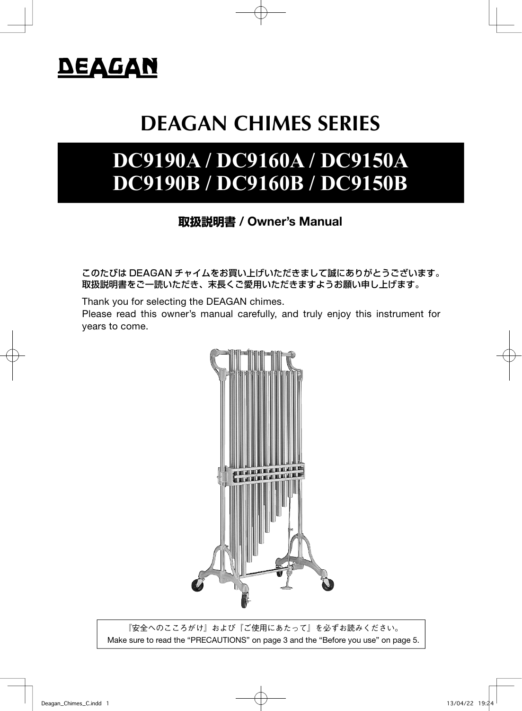

# **DEAGAN CHIMES SERIES**

# **DC9190A / DC9160A / DC9150A DC9190B / DC9160B / DC9150B**

### **取扱説明書** / Owner's Manual

このたびは DEAGAN チャイムをお買い上げいただきまして誠にありがとうございます。 取扱説明書をご一読いただき、末長くご愛用いただきますようお願い申し上げます。

Thank you for selecting the DEAGAN chimes.

Please read this owner's manual carefully, and truly enjoy this instrument for years to come.



『安全へのこころがけ』および『ご使用にあたって』を必ずお読みください。 Make sure to read the "PRECAUTIONS" on page 3 and the "Before you use" on page 5.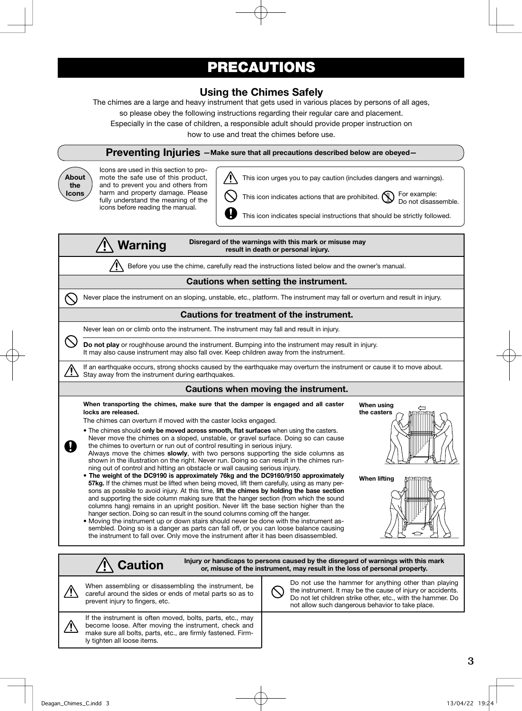### PRECAUTIONS

### Using the Chimes Safely

The chimes are a large and heavy instrument that gets used in various places by persons of all ages,

so please obey the following instructions regarding their regular care and placement.

Especially in the case of children, a responsible adult should provide proper instruction on

how to use and treat the chimes before use.

#### Preventing Injuries - Make sure that all precautions described below are obeyed-

About the Icons

Icons are used in this section to promote the safe use of this product, and to prevent you and others from harm and property damage. Please fully understand the meaning of the icons before reading the manual.



This icon urges you to pay caution (includes dangers and warnings).

This icon indicates actions that are prohibited.  $\bigcirc$  For example:

Do not disassemble.

This icon indicates special instructions that should be strictly followed.

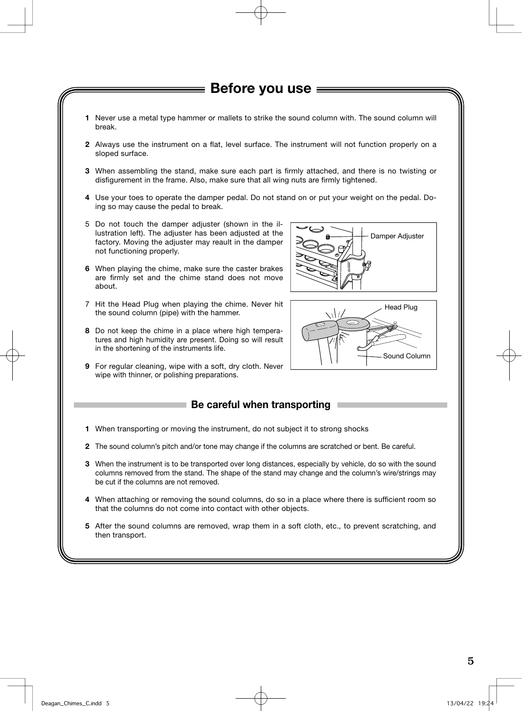### ━━━ Before vou use ━━

- 1 Never use a metal type hammer or mallets to strike the sound column with. The sound column will break.
- 2 Always use the instrument on a flat, level surface. The instrument will not function properly on a sloped surface.
- 3 When assembling the stand, make sure each part is firmly attached, and there is no twisting or disfigurement in the frame. Also, make sure that all wing nuts are firmly tightened.
- 4 Use your toes to operate the damper pedal. Do not stand on or put your weight on the pedal. Doing so may cause the pedal to break.
- 5 Do not touch the damper adjuster (shown in the illustration left). The adjuster has been adjusted at the factory. Moving the adjuster may reault in the damper not functioning properly.
- 6 When playing the chime, make sure the caster brakes are firmly set and the chime stand does not move about.
- 7 Hit the Head Plug when playing the chime. Never hit the sound column (pipe) with the hammer.
- 8 Do not keep the chime in a place where high temperatures and high humidity are present. Doing so will result in the shortening of the instruments life.
- 9 For regular cleaning, wipe with a soft, dry cloth. Never wipe with thinner, or polishing preparations.

## Be careful when transporting

- 1 When transporting or moving the instrument, do not subject it to strong shocks
- 2 The sound column's pitch and/or tone may change if the columns are scratched or bent. Be careful.
- 3 When the instrument is to be transported over long distances, especially by vehicle, do so with the sound columns removed from the stand. The shape of the stand may change and the column's wire/strings may be cut if the columns are not removed.
- 4 When attaching or removing the sound columns, do so in a place where there is sufficient room so that the columns do not come into contact with other objects.
- 5 After the sound columns are removed, wrap them in a soft cloth, etc., to prevent scratching, and then transport.



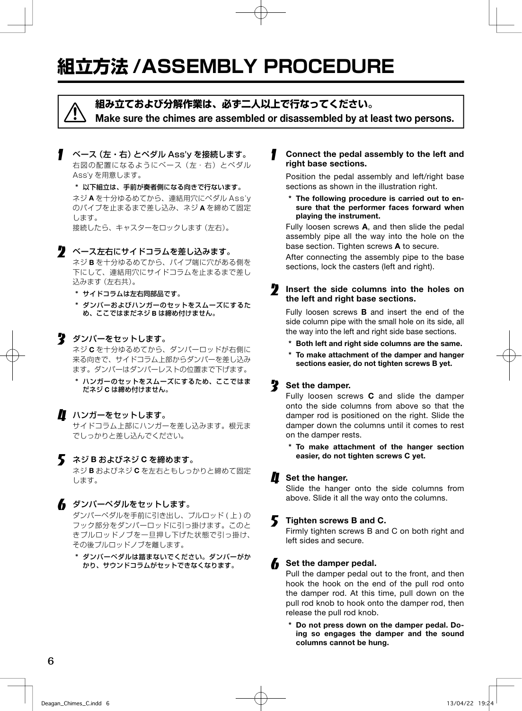## **組立方法 /ASSEMBLY PROCEDURE**

 **組み立ておよび分解作業は、必ず二人以上で行なってください。** Make sure the chimes are assembled or disassembled by at least two persons.

ベース (左・右) とペダル Ass'v を接続します。 右図の配置になるようにベース (左・右) とペダル Ass'y を用意します。

\* 以下組立は、手前が奏者側になる向きで行ないます。 ネジ A を十分ゆるめてから、連結用穴にペダル Ass'y のパイプを止まるまで差し込み、ネジ A を締めて固定 します。

 接続したら、キャスターをロックします(左右)。

#### 2 ベース左右にサイドコラムを差し込みます。

 ネジ B を十分ゆるめてから、パイプ端に穴がある側を 下にして、連結用穴にサイドコラムを止まるまで差し 込みます(左右共)。

\* サイドコラムは左右同部品です。

\* ダンパーおよびハンガーのセットをスムーズにするた め、ここではまだネジ B は締め付けません。

#### ■ ダンパーをセットします。 ネジ C を十分ゆるめてから、ダンパーロッドが右側に 来る向きで、サイドコラム上部からダンパーを差し込み

ます。ダンパーはダンパーレストの位置まで下げます。

\* ハンガーのセットをスムーズにするため、ここではま だネジ C は締め付けません。

#### ■ ハンガーをセットします。

 サイドコラム上部にハンガーを差し込みます。根元ま でしっかりと差し込んでください。

#### ネジ B およびネジ C を締めます。

 ネジ B およびネジ C を左右ともしっかりと締めて固定 します。

#### 6 ダンパーペダルをセットします。

ダンパーペダルを手前に引き出し、プルロッド (上)の フック部分をダンパーロッドに引っ掛けます。このと きプルロッドノブを一旦押し下げた状態で引っ掛け、 その後プルロッドノブを離します。

\* ダンパーペダルは踏まないでください。ダンパーがか かり、サウンドコラムがセットできなくなります。

#### Connect the pedal assembly to the left and right base sections.

 Position the pedal assembly and left/right base sections as shown in the illustration right.

\* The following procedure is carried out to ensure that the performer faces forward when playing the instrument.

 Fully loosen screws A, and then slide the pedal assembly pipe all the way into the hole on the base section. Tighten screws **A** to secure.

 After connecting the assembly pipe to the base sections, lock the casters (left and right).

#### **2** Insert the side columns into the holes on the left and right base sections.

Fully loosen screws **B** and insert the end of the side column pipe with the small hole on its side, all the way into the left and right side base sections.

- Both left and right side columns are the same.
- \* To make attachment of the damper and hanger sections easier, do not tighten screws B yet.

#### Set the damper.

 Fully loosen screws C and slide the damper onto the side columns from above so that the damper rod is positioned on the right. Slide the damper down the columns until it comes to rest on the damper rests.

\* To make attachment of the hanger section easier, do not tighten screws C yet.

#### $\blacksquare$  Set the hanger.

 Slide the hanger onto the side columns from above. Slide it all the way onto the columns.

#### 5 Tighten screws B and C.

 Firmly tighten screws B and C on both right and left sides and secure.

#### Set the damper pedal.

 Pull the damper pedal out to the front, and then hook the hook on the end of the pull rod onto the damper rod. At this time, pull down on the pull rod knob to hook onto the damper rod, then release the pull rod knob.

\* Do not press down on the damper pedal. Doing so engages the damper and the sound columns cannot be hung.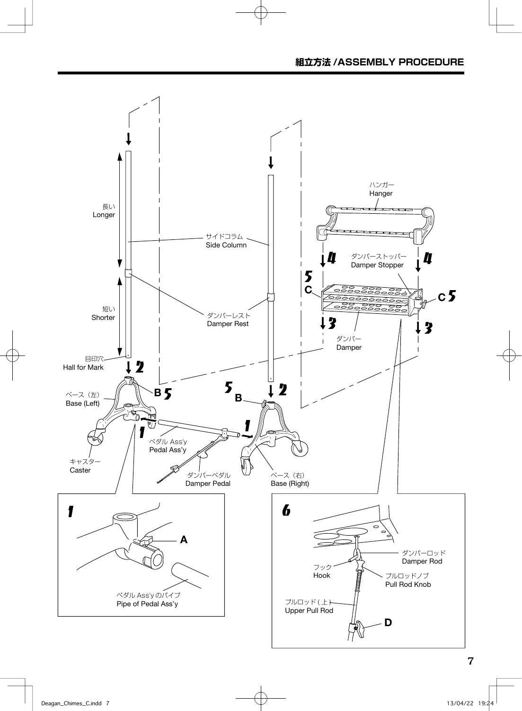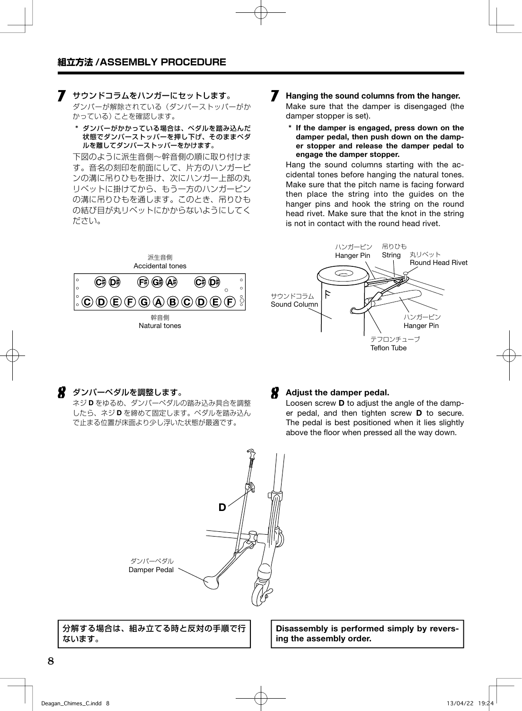#### 7 サウンドコラムをハンガーにセットします。

 ダンパーが解除されている(ダンパーストッパーがか かっている)ことを確認します。

\* ダンパーがかかっている場合は、ペダルを踏み込んだ 状態でダンパーストッパーを押し下げ、そのままペダ ルを離してダンパーストッパーをかけます。

 下図のように派生音側〜幹音側の順に取り付けま す。音名の刻印を前面にして、片方のハンガーピ ンの溝に吊りひもを掛け、次にハンガー上部の丸 リベットに掛けてから、もう一方のハンガーピン の溝に吊りひもを通します。このとき、吊りひも の結び目が丸リベットにかからないようにしてく ださい。

- **7** Hanging the sound columns from the hanger. Make sure that the damper is disengaged (the damper stopper is set).
	- \* If the damper is engaged, press down on the damper pedal, then push down on the damper stopper and release the damper pedal to engage the damper stopper.

 Hang the sound columns starting with the accidental tones before hanging the natural tones. Make sure that the pitch name is facing forward then place the string into the guides on the hanger pins and hook the string on the round head rivet. Make sure that the knot in the string is not in contact with the round head rivet.





#### 8 ダンパーペダルを調整します。

 ネジ D をゆるめ、ダンパーペダルの踏み込み具合を調整 したら、ネジ D を締めて固定します。ペダルを踏み込ん で止まる位置が床面より少し浮いた状態が最適です。



 Loosen screw D to adjust the angle of the damper pedal, and then tighten screw D to secure. The pedal is best positioned when it lies slightly above the floor when pressed all the way down.



Damper Pedal

分解する場合は、組み立てる時と反対の手順で行 ないます。

Disassembly is performed simply by reversing the assembly order.